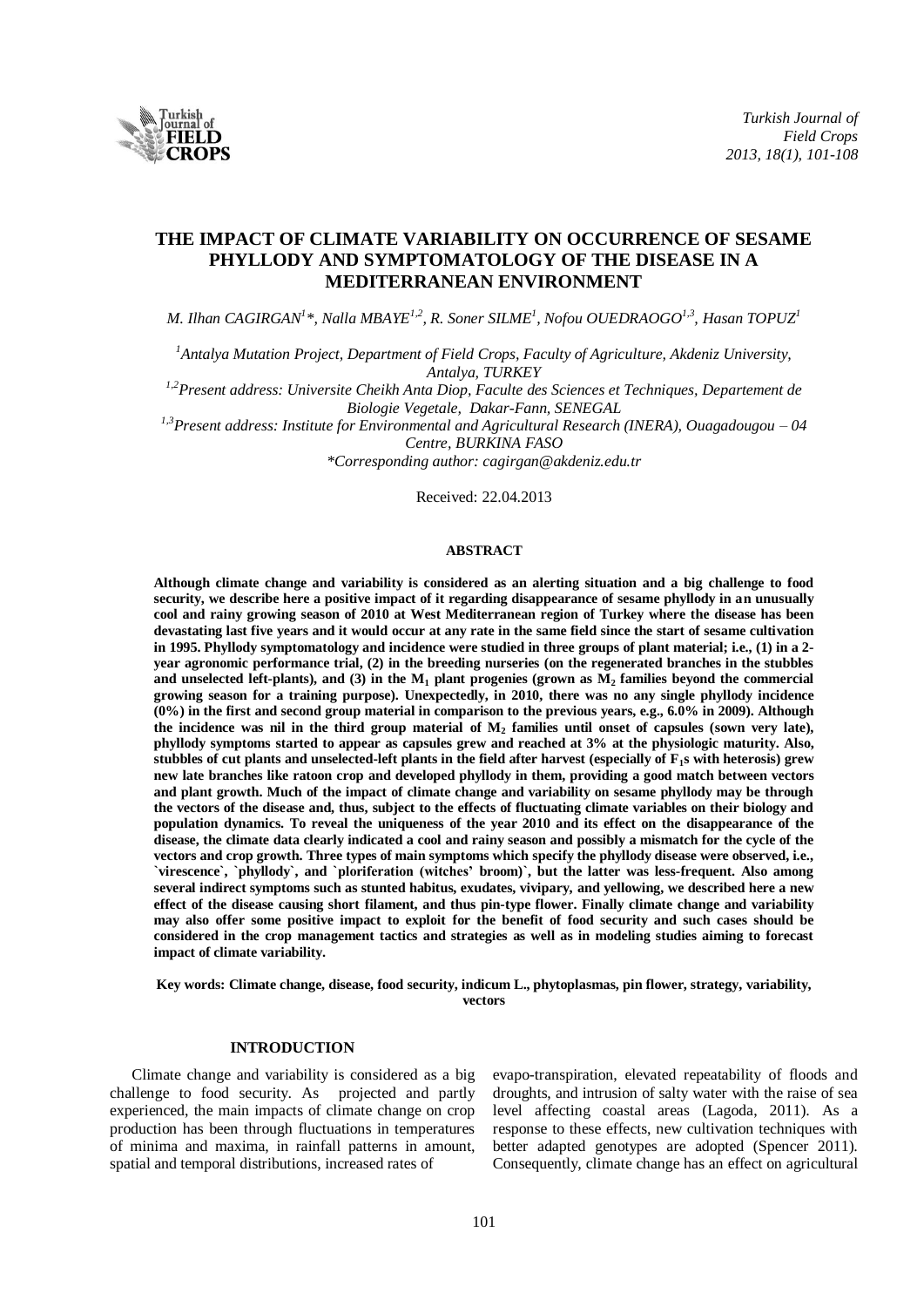

# **THE IMPACT OF CLIMATE VARIABILITY ON OCCURRENCE OF SESAME PHYLLODY AND SYMPTOMATOLOGY OF THE DISEASE IN A MEDITERRANEAN ENVIRONMENT**

*M. Ilhan CAGIRGAN<sup>1</sup> \*, Nalla MBAYE1,2 , R. Soner SILME<sup>1</sup> , Nofou OUEDRAOGO1,3 , Hasan TOPUZ<sup>1</sup>*

*<sup>1</sup>Antalya Mutation Project, Department of Field Crops, Faculty of Agriculture, Akdeniz University, Antalya, TURKEY*

*1,2Present address: Universite Cheikh Anta Diop, Faculte des Sciences et Techniques, Departement de Biologie Vegetale, Dakar-Fann, SENEGAL*

*1,3Present address: Institute for Environmental and Agricultural Research (INERA), Ouagadougou – 04 Centre, BURKINA FASO*

*\*Corresponding author: cagirgan@akdeniz.edu.tr*

Received: 22.04.2013

### **ABSTRACT**

**Although climate change and variability is considered as an alerting situation and a big challenge to food security, we describe here a positive impact of it regarding disappearance of sesame phyllody in an unusually cool and rainy growing season of 2010 at West Mediterranean region of Turkey where the disease has been devastating last five years and it would occur at any rate in the same field since the start of sesame cultivation in 1995. Phyllody symptomatology and incidence were studied in three groups of plant material; i.e., (1) in a 2 year agronomic performance trial, (2) in the breeding nurseries (on the regenerated branches in the stubbles**  and unselected left-plants), and (3) in the  $M_1$  plant progenies (grown as  $M_2$  families beyond the commercial **growing season for a training purpose). Unexpectedly, in 2010, there was no any single phyllody incidence (0%) in the first and second group material in comparison to the previous years, e.g., 6.0% in 2009). Although the incidence was nil in the third group material of M<sup>2</sup> families until onset of capsules (sown very late), phyllody symptoms started to appear as capsules grew and reached at 3% at the physiologic maturity. Also, stubbles of cut plants and unselected-left plants in the field after harvest (especially of F1s with heterosis) grew new late branches like ratoon crop and developed phyllody in them, providing a good match between vectors and plant growth. Much of the impact of climate change and variability on sesame phyllody may be through the vectors of the disease and, thus, subject to the effects of fluctuating climate variables on their biology and population dynamics. To reveal the uniqueness of the year 2010 and its effect on the disappearance of the disease, the climate data clearly indicated a cool and rainy season and possibly a mismatch for the cycle of the vectors and crop growth. Three types of main symptoms which specify the phyllody disease were observed, i.e., `virescence`, `phyllody`, and `ploriferation (witches' broom)`, but the latter was less-frequent. Also among several indirect symptoms such as stunted habitus, exudates, vivipary, and yellowing, we described here a new effect of the disease causing short filament, and thus pin-type flower. Finally climate change and variability may also offer some positive impact to exploit for the benefit of food security and such cases should be considered in the crop management tactics and strategies as well as in modeling studies aiming to forecast impact of climate variability.**

**Key words: Climate change, disease, food security, indicum L., phytoplasmas, pin flower, strategy, variability, vectors**

# **INTRODUCTION**

Climate change and variability is considered as a big challenge to food security. As projected and partly experienced, the main impacts of climate change on crop production has been through fluctuations in temperatures of minima and maxima, in rainfall patterns in amount, spatial and temporal distributions, increased rates of

evapo-transpiration, elevated repeatability of floods and droughts, and intrusion of salty water with the raise of sea level affecting coastal areas (Lagoda, 2011). As a response to these effects, new cultivation techniques with better adapted genotypes are adopted (Spencer 2011). Consequently, climate change has an effect on agricultural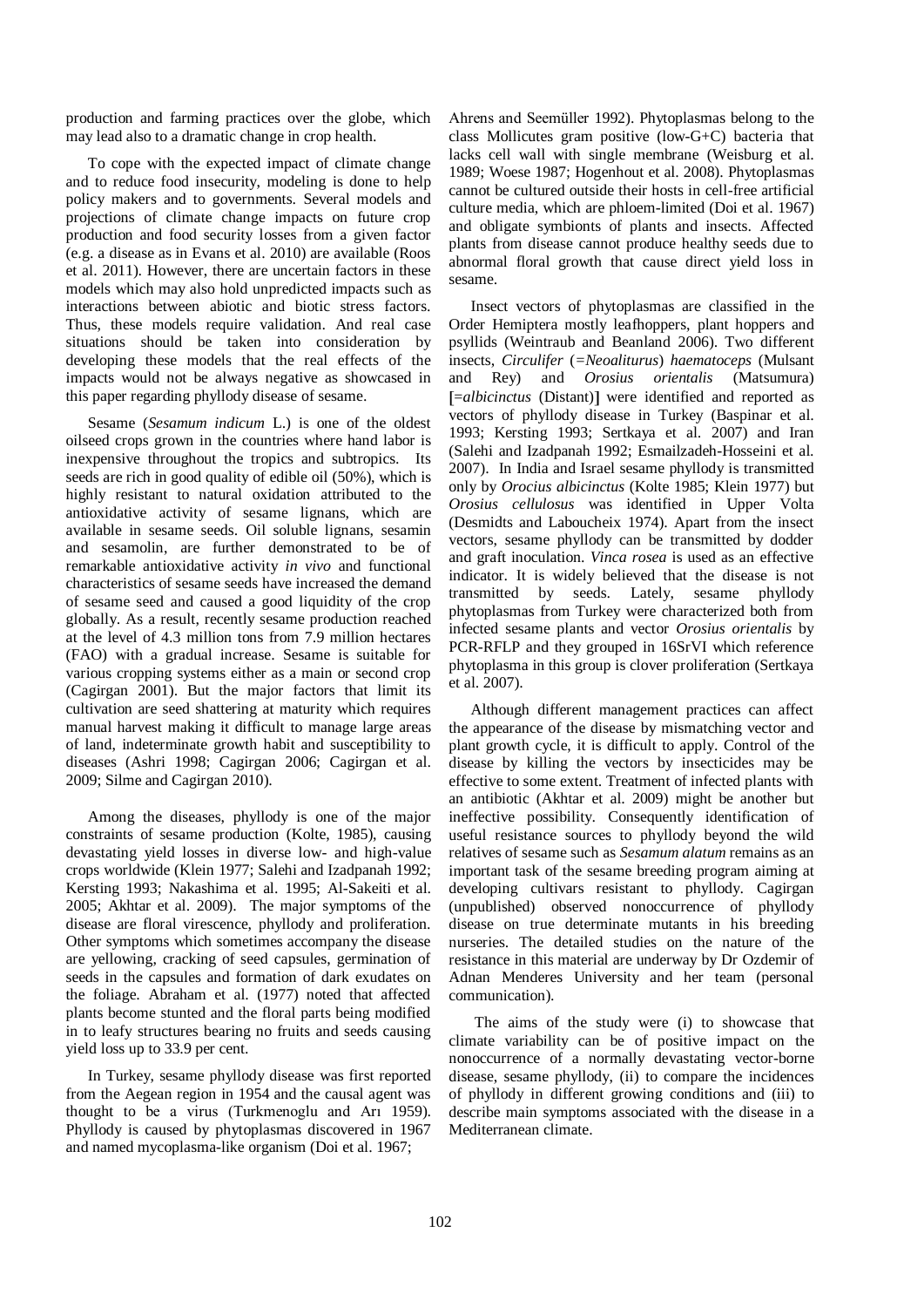production and farming practices over the globe, which may lead also to a dramatic change in crop health.

To cope with the expected impact of climate change and to reduce food insecurity, modeling is done to help policy makers and to governments. Several models and projections of climate change impacts on future crop production and food security losses from a given factor (e.g. a disease as in Evans et al. 2010) are available (Roos et al. 2011). However, there are uncertain factors in these models which may also hold unpredicted impacts such as interactions between abiotic and biotic stress factors. Thus, these models require validation. And real case situations should be taken into consideration by developing these models that the real effects of the impacts would not be always negative as showcased in this paper regarding phyllody disease of sesame.

Sesame (*Sesamum indicum* L.) is one of the oldest oilseed crops grown in the countries where hand labor is inexpensive throughout the tropics and subtropics. Its seeds are rich in good quality of edible oil (50%), which is highly resistant to natural oxidation attributed to the antioxidative activity of sesame lignans, which are available in sesame seeds. Oil soluble lignans, sesamin and sesamolin, are further demonstrated to be of remarkable antioxidative activity *in vivo* and functional characteristics of sesame seeds have increased the demand of sesame seed and caused a good liquidity of the crop globally. As a result, recently sesame production reached at the level of 4.3 million tons from 7.9 million hectares (FAO) with a gradual increase. Sesame is suitable for various cropping systems either as a main or second crop (Cagirgan 2001). But the major factors that limit its cultivation are seed shattering at maturity which requires manual harvest making it difficult to manage large areas of land, indeterminate growth habit and susceptibility to diseases (Ashri 1998; Cagirgan 2006; Cagirgan et al. 2009; Silme and Cagirgan 2010).

Among the diseases, phyllody is one of the major constraints of sesame production (Kolte, 1985), causing devastating yield losses in diverse low- and high-value crops worldwide (Klein 1977; Salehi and Izadpanah 1992; Kersting 1993; Nakashima et al. 1995; Al-Sakeiti et al. 2005; Akhtar et al. 2009). The major symptoms of the disease are floral virescence, phyllody and proliferation. Other symptoms which sometimes accompany the disease are yellowing, cracking of seed capsules, germination of seeds in the capsules and formation of dark exudates on the foliage. Abraham et al. (1977) noted that affected plants become stunted and the floral parts being modified in to leafy structures bearing no fruits and seeds causing yield loss up to 33.9 per cent.

In Turkey, sesame phyllody disease was first reported from the Aegean region in 1954 and the causal agent was thought to be a virus (Turkmenoglu and Arı 1959). Phyllody is caused by phytoplasmas discovered in 1967 and named mycoplasma-like organism (Doi et al. 1967;

Ahrens and Seemüller 1992). Phytoplasmas belong to the class Mollicutes gram positive (low-G+C) bacteria that lacks cell wall with single membrane (Weisburg et al. 1989; Woese 1987; Hogenhout et al. 2008). Phytoplasmas cannot be cultured outside their hosts in cell-free artificial culture media, which are phloem-limited (Doi et al. 1967) and obligate symbionts of plants and insects. Affected plants from disease cannot produce healthy seeds due to abnormal floral growth that cause direct yield loss in sesame.

Insect vectors of phytoplasmas are classified in the Order Hemiptera mostly leafhoppers, plant hoppers and psyllids (Weintraub and Beanland 2006). Two different insects, *Circulifer* (*=Neoaliturus*) *haematoceps* (Mulsant and Rey) and *Orosius orientalis* (Matsumura) [=*albicinctus* (Distant)] were identified and reported as vectors of phyllody disease in Turkey (Baspinar et al. 1993; Kersting 1993; Sertkaya et al. 2007) and Iran (Salehi and Izadpanah 1992; Esmailzadeh-Hosseini et al. 2007). In India and Israel sesame phyllody is transmitted only by *Orocius albicinctus* (Kolte 1985; Klein 1977) but *Orosius cellulosus* was identified in Upper Volta (Desmidts and Laboucheix 1974). Apart from the insect vectors, sesame phyllody can be transmitted by dodder and graft inoculation. *Vinca rosea* is used as an effective indicator. It is widely believed that the disease is not transmitted by seeds. Lately, sesame phyllody phytoplasmas from Turkey were characterized both from infected sesame plants and vector *Orosius orientalis* by PCR-RFLP and they grouped in 16SrVI which reference phytoplasma in this group is clover proliferation (Sertkaya et al. 2007).

Although different management practices can affect the appearance of the disease by mismatching vector and plant growth cycle, it is difficult to apply. Control of the disease by killing the vectors by insecticides may be effective to some extent. Treatment of infected plants with an antibiotic (Akhtar et al. 2009) might be another but ineffective possibility. Consequently identification of useful resistance sources to phyllody beyond the wild relatives of sesame such as *Sesamum alatum* remains as an important task of the sesame breeding program aiming at developing cultivars resistant to phyllody. Cagirgan (unpublished) observed nonoccurrence of phyllody disease on true determinate mutants in his breeding nurseries. The detailed studies on the nature of the resistance in this material are underway by Dr Ozdemir of Adnan Menderes University and her team (personal communication).

The aims of the study were (i) to showcase that climate variability can be of positive impact on the nonoccurrence of a normally devastating vector-borne disease, sesame phyllody, (ii) to compare the incidences of phyllody in different growing conditions and (iii) to describe main symptoms associated with the disease in a Mediterranean climate.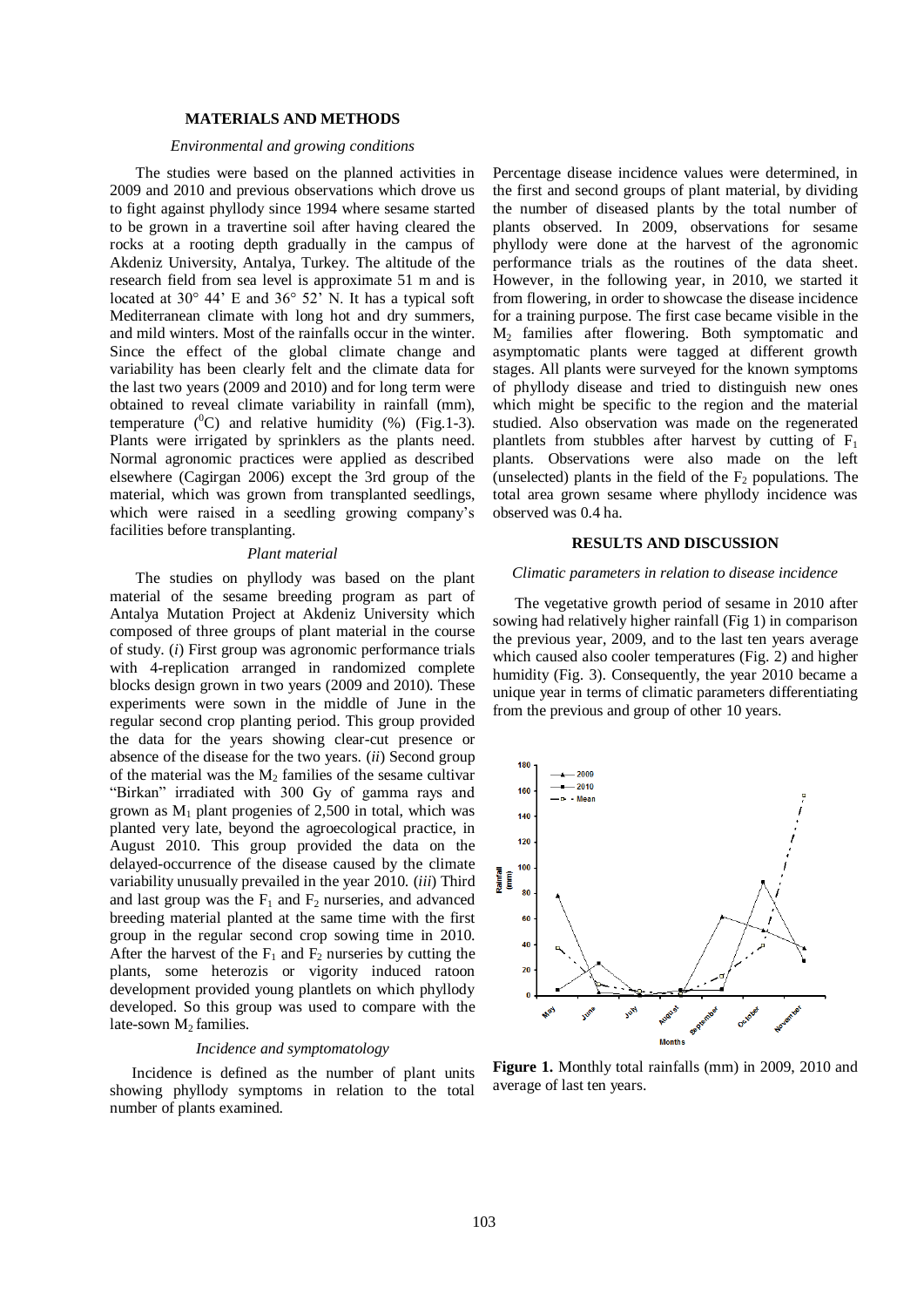### **MATERIALS AND METHODS**

### *Environmental and growing conditions*

The studies were based on the planned activities in 2009 and 2010 and previous observations which drove us to fight against phyllody since 1994 where sesame started to be grown in a travertine soil after having cleared the rocks at a rooting depth gradually in the campus of Akdeniz University, Antalya, Turkey. The altitude of the research field from sea level is approximate 51 m and is located at 30° 44' E and 36° 52' N. It has a typical soft Mediterranean climate with long hot and dry summers, and mild winters. Most of the rainfalls occur in the winter. Since the effect of the global climate change and variability has been clearly felt and the climate data for the last two years (2009 and 2010) and for long term were obtained to reveal climate variability in rainfall (mm), temperature  $(^{0}C)$  and relative humidity  $(^{9}()$  (Fig. 1-3). Plants were irrigated by sprinklers as the plants need. Normal agronomic practices were applied as described elsewhere (Cagirgan 2006) except the 3rd group of the material, which was grown from transplanted seedlings, which were raised in a seedling growing company's facilities before transplanting.

#### *Plant material*

The studies on phyllody was based on the plant material of the sesame breeding program as part of Antalya Mutation Project at Akdeniz University which composed of three groups of plant material in the course of study. (*i*) First group was agronomic performance trials with 4-replication arranged in randomized complete blocks design grown in two years (2009 and 2010). These experiments were sown in the middle of June in the regular second crop planting period. This group provided the data for the years showing clear-cut presence or absence of the disease for the two years. (*ii*) Second group of the material was the  $M<sub>2</sub>$  families of the sesame cultivar "Birkan" irradiated with 300 Gy of gamma rays and grown as  $M_1$  plant progenies of 2,500 in total, which was planted very late, beyond the agroecological practice, in August 2010. This group provided the data on the delayed-occurrence of the disease caused by the climate variability unusually prevailed in the year 2010. (*iii*) Third and last group was the  $F_1$  and  $F_2$  nurseries, and advanced breeding material planted at the same time with the first group in the regular second crop sowing time in 2010. After the harvest of the  $F_1$  and  $F_2$  nurseries by cutting the plants, some heterozis or vigority induced ratoon development provided young plantlets on which phyllody developed. So this group was used to compare with the late-sown  $M_2$  families.

#### *Incidence and symptomatology*

Incidence is defined as the number of plant units showing phyllody symptoms in relation to the total number of plants examined.

Percentage disease incidence values were determined, in the first and second groups of plant material, by dividing the number of diseased plants by the total number of plants observed. In 2009, observations for sesame phyllody were done at the harvest of the agronomic performance trials as the routines of the data sheet. However, in the following year, in 2010, we started it from flowering, in order to showcase the disease incidence for a training purpose. The first case became visible in the M2 families after flowering. Both symptomatic and asymptomatic plants were tagged at different growth stages. All plants were surveyed for the known symptoms of phyllody disease and tried to distinguish new ones which might be specific to the region and the material studied. Also observation was made on the regenerated plantlets from stubbles after harvest by cutting of  $F_1$ plants. Observations were also made on the left (unselected) plants in the field of the  $F_2$  populations. The total area grown sesame where phyllody incidence was observed was 0.4 ha.

#### **RESULTS AND DISCUSSION**

#### *Climatic parameters in relation to disease incidence*

The vegetative growth period of sesame in 2010 after sowing had relatively higher rainfall (Fig 1) in comparison the previous year, 2009, and to the last ten years average which caused also cooler temperatures (Fig. 2) and higher humidity (Fig. 3). Consequently, the year 2010 became a unique year in terms of climatic parameters differentiating from the previous and group of other 10 years.



**Figure 1.** Monthly total rainfalls (mm) in 2009, 2010 and average of last ten years.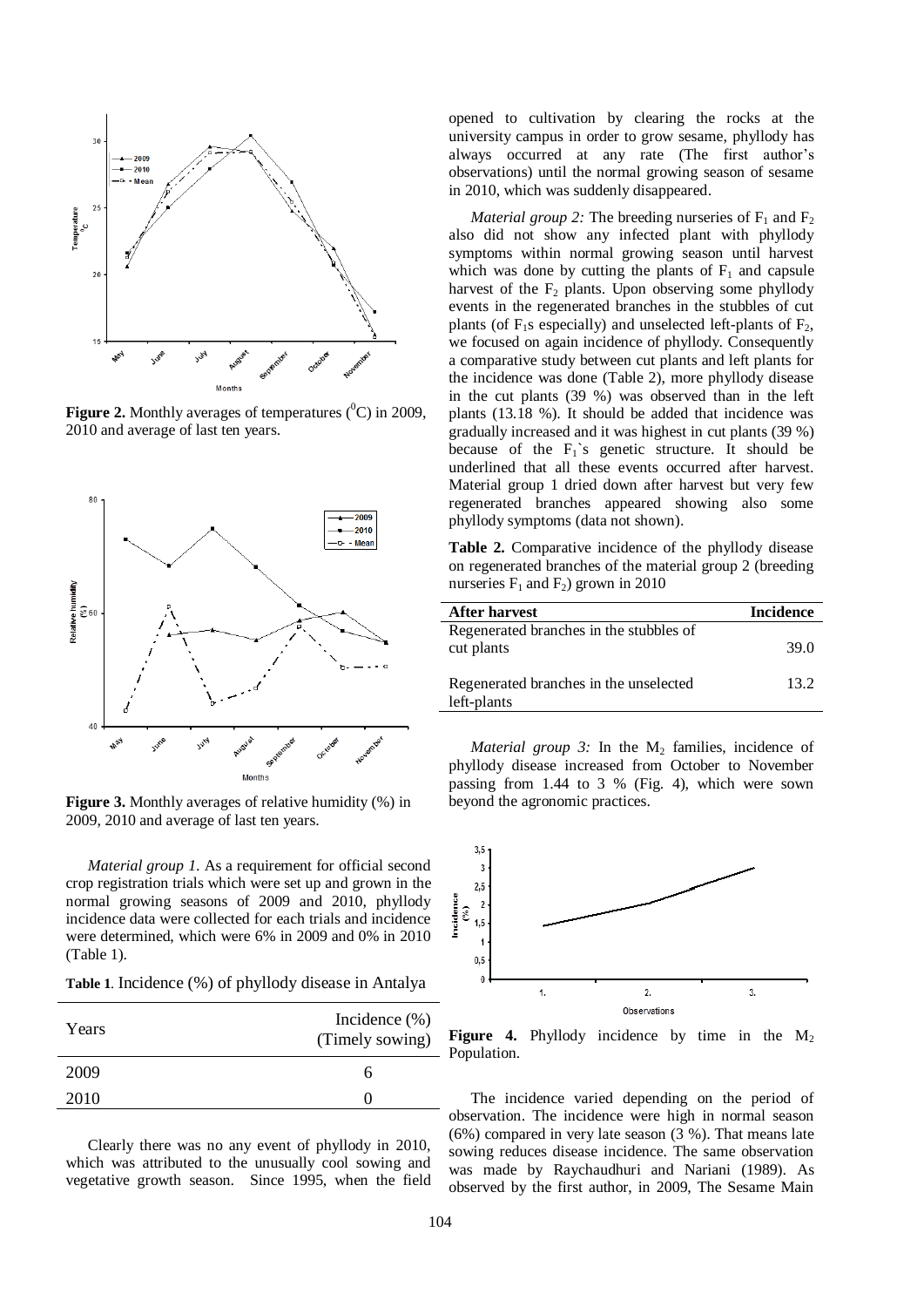

**Figure 2.** Monthly averages of temperatures  $(^{0}C)$  in 2009, 2010 and average of last ten years.



Figure 3. Monthly averages of relative humidity (%) in 2009, 2010 and average of last ten years.

*Material group 1*. As a requirement for official second crop registration trials which were set up and grown in the normal growing seasons of 2009 and 2010, phyllody incidence data were collected for each trials and incidence were determined, which were 6% in 2009 and 0% in 2010 (Table 1).

**Table 1**. Incidence (%) of phyllody disease in Antalya

| Years | Incidence $(\%)$<br>(Timely sowing) |
|-------|-------------------------------------|
| 2009  | n                                   |
| 2010  |                                     |

Clearly there was no any event of phyllody in 2010, which was attributed to the unusually cool sowing and vegetative growth season. Since 1995, when the field opened to cultivation by clearing the rocks at the university campus in order to grow sesame, phyllody has always occurred at any rate (The first author's observations) until the normal growing season of sesame in 2010, which was suddenly disappeared.

*Material group 2:* The breeding nurseries of  $F_1$  and  $F_2$ also did not show any infected plant with phyllody symptoms within normal growing season until harvest which was done by cutting the plants of  $F_1$  and capsule harvest of the  $F_2$  plants. Upon observing some phyllody events in the regenerated branches in the stubbles of cut plants (of  $F_1$ s especially) and unselected left-plants of  $F_2$ , we focused on again incidence of phyllody. Consequently a comparative study between cut plants and left plants for the incidence was done (Table 2), more phyllody disease in the cut plants (39 %) was observed than in the left plants (13.18 %). It should be added that incidence was gradually increased and it was highest in cut plants (39 %) because of the  $F_1$ 's genetic structure. It should be underlined that all these events occurred after harvest. Material group 1 dried down after harvest but very few regenerated branches appeared showing also some phyllody symptoms (data not shown).

**Table 2.** Comparative incidence of the phyllody disease on regenerated branches of the material group 2 (breeding nurseries  $F_1$  and  $F_2$ ) grown in 2010

| <b>After harvest</b>                                  | <b>Incidence</b> |
|-------------------------------------------------------|------------------|
| Regenerated branches in the stubbles of<br>cut plants | 39.O             |
| Regenerated branches in the unselected<br>left-plants | 13.2             |

*Material group 3:* In the  $M_2$  families, incidence of phyllody disease increased from October to November passing from 1.44 to 3 % (Fig. 4), which were sown beyond the agronomic practices.



**Figure 4.** Phyllody incidence by time in the  $M_2$ Population.

The incidence varied depending on the period of observation. The incidence were high in normal season (6%) compared in very late season (3 %). That means late sowing reduces disease incidence. The same observation was made by Raychaudhuri and Nariani (1989). As observed by the first author, in 2009, The Sesame Main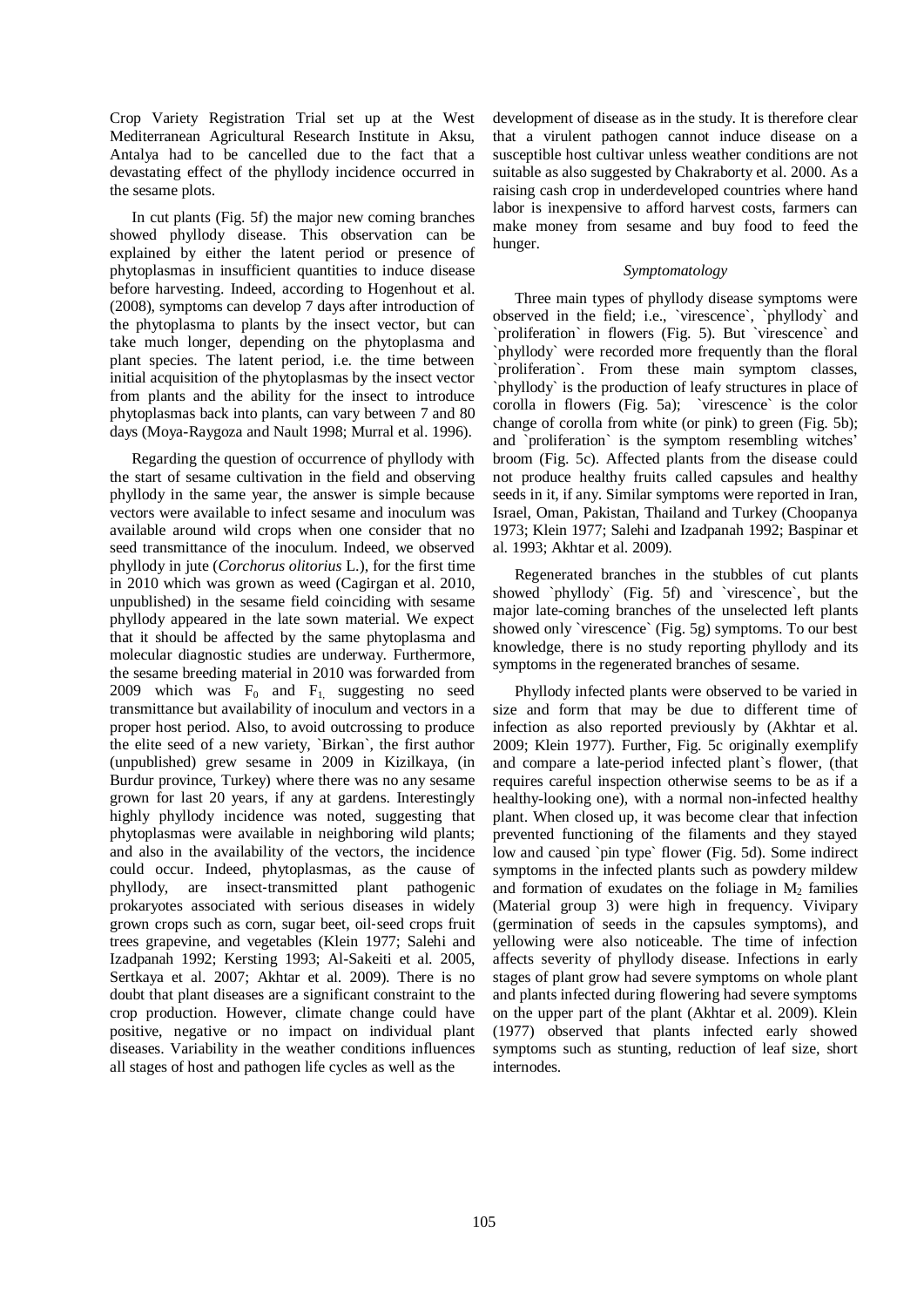Crop Variety Registration Trial set up at the West Mediterranean Agricultural Research Institute in Aksu, Antalya had to be cancelled due to the fact that a devastating effect of the phyllody incidence occurred in the sesame plots.

In cut plants (Fig. 5f) the major new coming branches showed phyllody disease. This observation can be explained by either the latent period or presence of phytoplasmas in insufficient quantities to induce disease before harvesting. Indeed, according to Hogenhout et al. (2008), symptoms can develop 7 days after introduction of the phytoplasma to plants by the insect vector, but can take much longer, depending on the phytoplasma and plant species. The latent period, i.e. the time between initial acquisition of the phytoplasmas by the insect vector from plants and the ability for the insect to introduce phytoplasmas back into plants, can vary between 7 and 80 days (Moya-Raygoza and Nault 1998; Murral et al. 1996).

Regarding the question of occurrence of phyllody with the start of sesame cultivation in the field and observing phyllody in the same year, the answer is simple because vectors were available to infect sesame and inoculum was available around wild crops when one consider that no seed transmittance of the inoculum. Indeed, we observed phyllody in jute (*Corchorus olitorius* L.), for the first time in 2010 which was grown as weed (Cagirgan et al. 2010, unpublished) in the sesame field coinciding with sesame phyllody appeared in the late sown material. We expect that it should be affected by the same phytoplasma and molecular diagnostic studies are underway. Furthermore, the sesame breeding material in 2010 was forwarded from 2009 which was  $F_0$  and  $F_1$  suggesting no seed transmittance but availability of inoculum and vectors in a proper host period. Also, to avoid outcrossing to produce the elite seed of a new variety, `Birkan`, the first author (unpublished) grew sesame in 2009 in Kizilkaya, (in Burdur province, Turkey) where there was no any sesame grown for last 20 years, if any at gardens. Interestingly highly phyllody incidence was noted, suggesting that phytoplasmas were available in neighboring wild plants; and also in the availability of the vectors, the incidence could occur. Indeed, phytoplasmas, as the cause of phyllody, are insect‐transmitted plant pathogenic prokaryotes associated with serious diseases in widely grown crops such as corn, sugar beet, oil‐seed crops fruit trees grapevine, and vegetables (Klein 1977; Salehi and Izadpanah 1992; Kersting 1993; Al-Sakeiti et al. 2005, Sertkaya et al. 2007; Akhtar et al. 2009). There is no doubt that plant diseases are a significant constraint to the crop production. However, climate change could have positive, negative or no impact on individual plant diseases. Variability in the weather conditions influences all stages of host and pathogen life cycles as well as the

development of disease as in the study. It is therefore clear that a virulent pathogen cannot induce disease on a susceptible host cultivar unless weather conditions are not suitable as also suggested by Chakraborty et al. 2000. As a raising cash crop in underdeveloped countries where hand labor is inexpensive to afford harvest costs, farmers can make money from sesame and buy food to feed the hunger.

#### *Symptomatology*

Three main types of phyllody disease symptoms were observed in the field; i.e., `virescence`, `phyllody` and `proliferation` in flowers (Fig. 5). But `virescence` and `phyllody` were recorded more frequently than the floral `proliferation`. From these main symptom classes, `phyllody` is the production of leafy structures in place of corolla in flowers (Fig. 5a); `virescence` is the color change of corolla from white (or pink) to green (Fig. 5b); and `proliferation` is the symptom resembling witches' broom (Fig. 5c). Affected plants from the disease could not produce healthy fruits called capsules and healthy seeds in it, if any. Similar symptoms were reported in Iran, Israel, Oman, Pakistan, Thailand and Turkey (Choopanya 1973; Klein 1977; Salehi and Izadpanah 1992; Baspinar et al. 1993; Akhtar et al. 2009).

Regenerated branches in the stubbles of cut plants showed `phyllody` (Fig. 5f) and `virescence`, but the major late-coming branches of the unselected left plants showed only `virescence` (Fig. 5g) symptoms. To our best knowledge, there is no study reporting phyllody and its symptoms in the regenerated branches of sesame.

Phyllody infected plants were observed to be varied in size and form that may be due to different time of infection as also reported previously by (Akhtar et al. 2009; Klein 1977). Further, Fig. 5c originally exemplify and compare a late-period infected plant`s flower, (that requires careful inspection otherwise seems to be as if a healthy-looking one), with a normal non-infected healthy plant. When closed up, it was become clear that infection prevented functioning of the filaments and they stayed low and caused `pin type` flower (Fig. 5d). Some indirect symptoms in the infected plants such as powdery mildew and formation of exudates on the foliage in  $M<sub>2</sub>$  families (Material group 3) were high in frequency. Vivipary (germination of seeds in the capsules symptoms), and yellowing were also noticeable. The time of infection affects severity of phyllody disease. Infections in early stages of plant grow had severe symptoms on whole plant and plants infected during flowering had severe symptoms on the upper part of the plant (Akhtar et al. 2009). Klein (1977) observed that plants infected early showed symptoms such as stunting, reduction of leaf size, short internodes.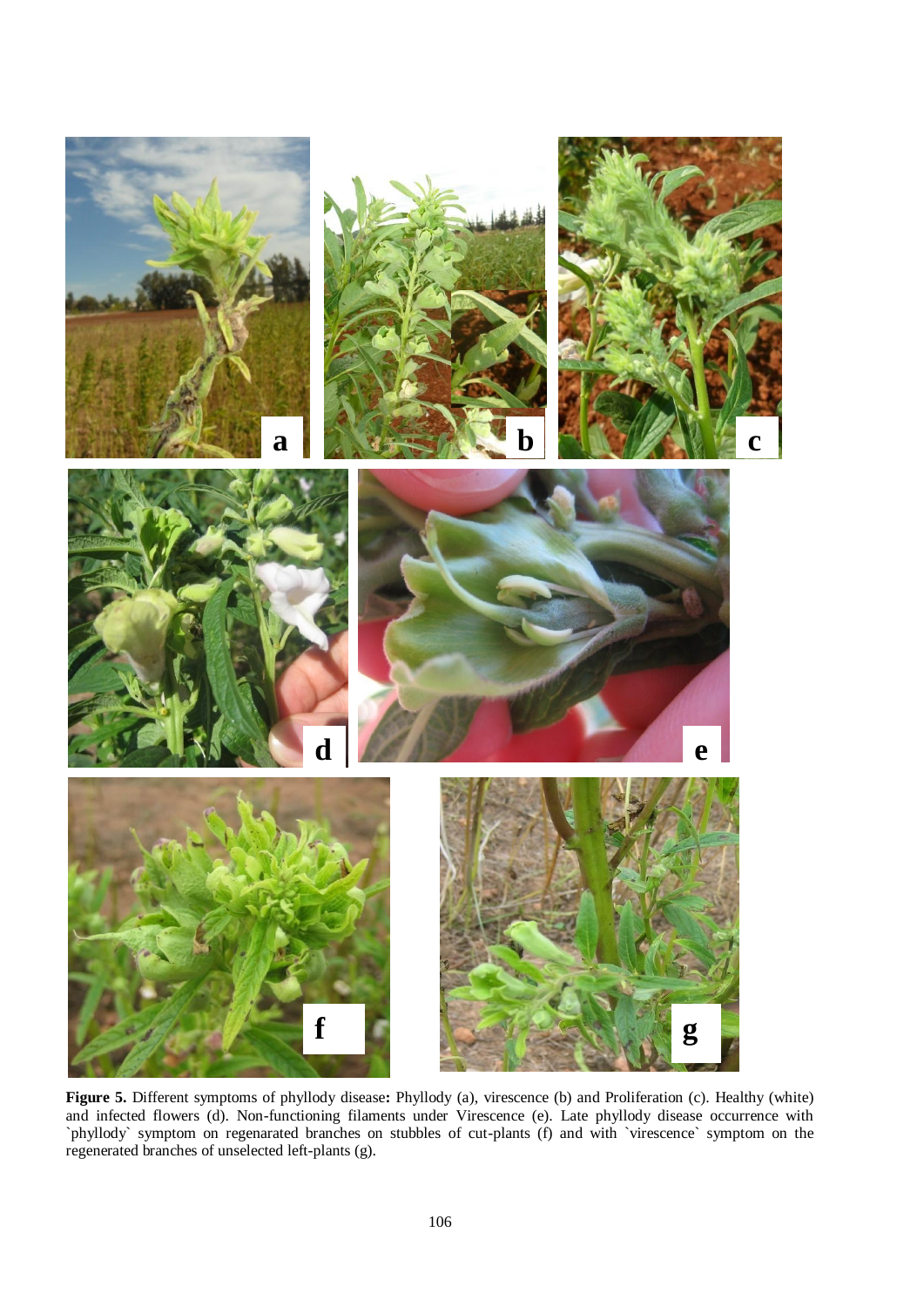

**Figure 5.** Different symptoms of phyllody disease**:** Phyllody (a), virescence (b) and Proliferation (c). Healthy (white) and infected flowers (d). Non-functioning filaments under Virescence (e). Late phyllody disease occurrence with `phyllody` symptom on regenarated branches on stubbles of cut-plants (f) and with `virescence` symptom on the regenerated branches of unselected left-plants (g).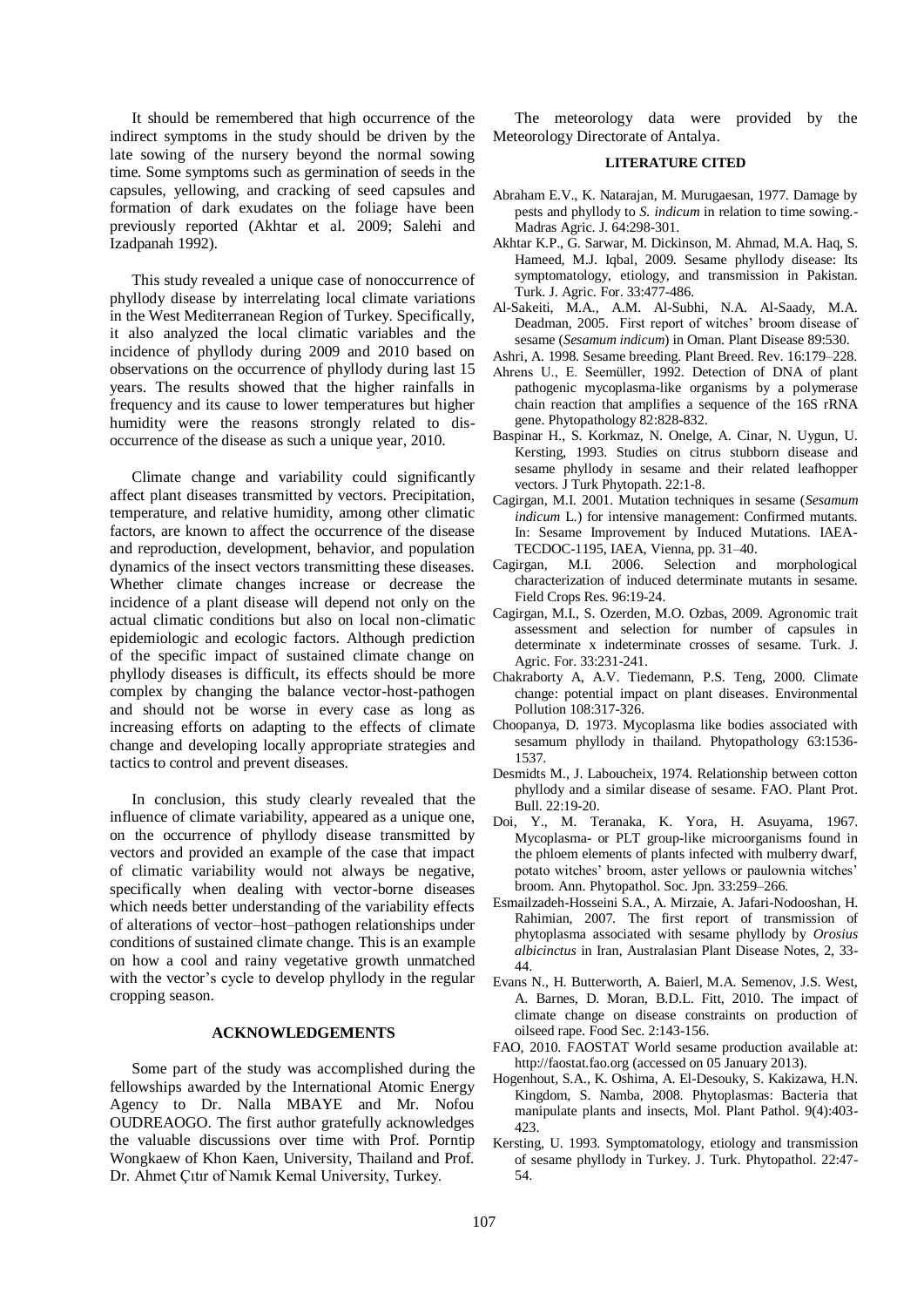It should be remembered that high occurrence of the indirect symptoms in the study should be driven by the late sowing of the nursery beyond the normal sowing time. Some symptoms such as germination of seeds in the capsules, yellowing, and cracking of seed capsules and formation of dark exudates on the foliage have been previously reported (Akhtar et al. 2009; Salehi and Izadpanah 1992).

This study revealed a unique case of nonoccurrence of phyllody disease by interrelating local climate variations in the West Mediterranean Region of Turkey. Specifically, it also analyzed the local climatic variables and the incidence of phyllody during 2009 and 2010 based on observations on the occurrence of phyllody during last 15 years. The results showed that the higher rainfalls in frequency and its cause to lower temperatures but higher humidity were the reasons strongly related to disoccurrence of the disease as such a unique year, 2010.

Climate change and variability could significantly affect plant diseases transmitted by vectors. Precipitation, temperature, and relative humidity, among other climatic factors, are known to affect the occurrence of the disease and reproduction, development, behavior, and population dynamics of the insect vectors transmitting these diseases. Whether climate changes increase or decrease the incidence of a plant disease will depend not only on the actual climatic conditions but also on local non-climatic epidemiologic and ecologic factors. Although prediction of the specific impact of sustained climate change on phyllody diseases is difficult, its effects should be more complex by changing the balance vector-host-pathogen and should not be worse in every case as long as increasing efforts on adapting to the effects of climate change and developing locally appropriate strategies and tactics to control and prevent diseases.

In conclusion, this study clearly revealed that the influence of climate variability, appeared as a unique one, on the occurrence of phyllody disease transmitted by vectors and provided an example of the case that impact of climatic variability would not always be negative, specifically when dealing with vector-borne diseases which needs better understanding of the variability effects of alterations of vector–host–pathogen relationships under conditions of sustained climate change. This is an example on how a cool and rainy vegetative growth unmatched with the vector's cycle to develop phyllody in the regular cropping season.

## **ACKNOWLEDGEMENTS**

Some part of the study was accomplished during the fellowships awarded by the International Atomic Energy Agency to Dr. Nalla MBAYE and Mr. Nofou OUDREAOGO. The first author gratefully acknowledges the valuable discussions over time with Prof. Porntip Wongkaew of Khon Kaen, University, Thailand and Prof. Dr. Ahmet Çıtır of Namık Kemal University, Turkey.

The meteorology data were provided by the Meteorology Directorate of Antalya.

## **LITERATURE CITED**

- Abraham E.V., K. Natarajan, M. Murugaesan, 1977. Damage by pests and phyllody to *S. indicum* in relation to time sowing.- Madras Agric. J. 64:298-301.
- Akhtar K.P., G. Sarwar, M. Dickinson, M. Ahmad, M.A. Haq, S. Hameed, M.J. Iqbal, 2009. Sesame phyllody disease: Its symptomatology, etiology, and transmission in Pakistan. Turk. J. Agric. For. 33:477-486.
- Al-Sakeiti, M.A., A.M. Al-Subhi, N.A. Al-Saady, M.A. Deadman, 2005. First report of witches' broom disease of sesame (*Sesamum indicum*) in Oman. Plant Disease 89:530.
- Ashri, A. 1998. Sesame breeding. Plant Breed. Rev. 16:179–228.
- Ahrens U., E. Seemüller, 1992. Detection of DNA of plant pathogenic mycoplasma-like organisms by a polymerase chain reaction that amplifies a sequence of the 16S rRNA gene. Phytopathology 82:828-832.
- Baspinar H., S. Korkmaz, N. Onelge, A. Cinar, N. Uygun, U. Kersting, 1993. Studies on citrus stubborn disease and sesame phyllody in sesame and their related leafhopper vectors. J Turk Phytopath. 22:1-8.
- Cagirgan, M.I. 2001. Mutation techniques in sesame (*Sesamum indicum* L.) for intensive management: Confirmed mutants. In: Sesame Improvement by Induced Mutations. IAEA-TECDOC-1195, IAEA, Vienna, pp. 31–40.
- Cagirgan, M.I. 2006. Selection and morphological characterization of induced determinate mutants in sesame. Field Crops Res. 96:19-24.
- Cagirgan, M.I., S. Ozerden, M.O. Ozbas, 2009. Agronomic trait assessment and selection for number of capsules in determinate x indeterminate crosses of sesame. Turk. J. Agric. For. 33:231-241.
- Chakraborty A, A.V. Tiedemann, P.S. Teng, 2000. Climate change: potential impact on plant diseases. Environmental Pollution 108:317-326.
- Choopanya, D. 1973. Mycoplasma like bodies associated with sesamum phyllody in thailand. Phytopathology 63:1536- 1537.
- Desmidts M., J. Laboucheix, 1974. Relationship between cotton phyllody and a similar disease of sesame. FAO. Plant Prot. Bull. 22:19-20.
- Doi, Y., M. Teranaka, K. Yora, H. Asuyama, 1967. Mycoplasma- or PLT group-like microorganisms found in the phloem elements of plants infected with mulberry dwarf, potato witches' broom, aster yellows or paulownia witches' broom. Ann. Phytopathol. Soc. Jpn. 33:259–266.
- Esmailzadeh-Hosseini S.A., A. Mirzaie, A. Jafari-Nodooshan, H. Rahimian, 2007. The first report of transmission of phytoplasma associated with sesame phyllody by *Orosius albicinctus* in Iran, Australasian Plant Disease Notes, 2, 33- 44.
- Evans N., H. Butterworth, A. Baierl, M.A. Semenov, J.S. West, A. Barnes, D. Moran, B.D.L. Fitt, 2010. The impact of climate change on disease constraints on production of oilseed rape. Food Sec. 2:143-156.
- FAO, 2010. FAOSTAT World sesame production available at: http://faostat.fao.org (accessed on 05 January 2013).
- Hogenhout, S.A., K. Oshima, A. El-Desouky, S. Kakizawa, H.N. Kingdom, S. Namba, 2008. Phytoplasmas: Bacteria that manipulate plants and insects, Mol. Plant Pathol. 9(4):403- 423.
- Kersting, U. 1993. Symptomatology, etiology and transmission of sesame phyllody in Turkey. J. Turk. Phytopathol. 22:47- 54.